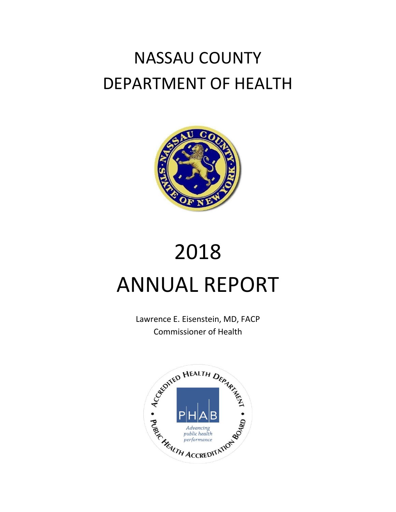# NASSAU COUNTY DEPARTMENT OF HEALTH



# 2018 ANNUAL REPORT

Lawrence E. Eisenstein, MD, FACP Commissioner of Health

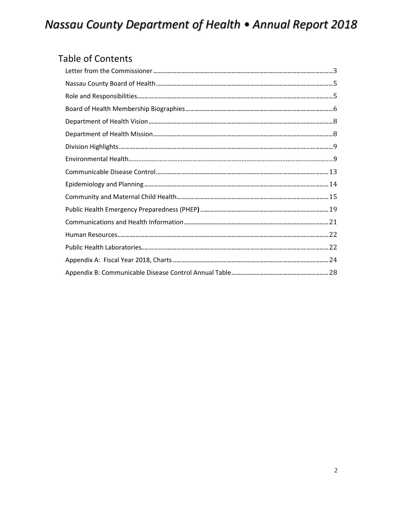### **Table of Contents**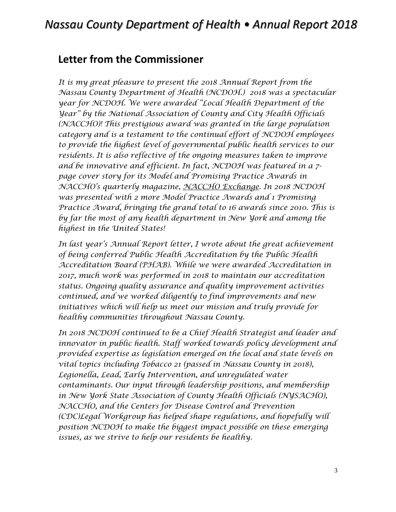### <span id="page-2-0"></span>**Letter from the Commissioner**

*It is my great pleasure to present the 2018 Annual Report from the Nassau County Department of Health (NCDOH.) 2018 was a spectacular year for NCDOH. We were awarded "Local Health Department of the Year" by the National Association of County and City Health Officials (NACCHO)! This prestigious award was granted in the large population category and is a testament to the continual effort of NCDOH employees to provide the highest level of governmental public health services to our residents. It is also reflective of the ongoing measures taken to improve and be innovative and efficient. In fact, NCDOH was featured in a 7 page cover story for its Model and Promising Practice Awards in NACCHO's quarterly magazine, NACCHO Exchange. In 2018 NCDOH was presented with 2 more Model Practice Awards and 1 Promising Practice Award, bringing the grand total to 16 awards since 2010. This is by far the most of any health department in New York and among the highest in the United States!* 

*In last year's Annual Report letter, I wrote about the great achievement of being conferred Public Health Accreditation by the Public Health Accreditation Board (PHAB). While we were awarded Accreditation in 2017, much work was performed in 2018 to maintain our accreditation status. Ongoing quality assurance and quality improvement activities continued, and we worked diligently to find improvements and new initiatives which will help us meet our mission and truly provide for healthy communities throughout Nassau County.*

*In 2018 NCDOH continued to be a Chief Health Strategist and leader and innovator in public health. Staff worked towards policy development and provided expertise as legislation emerged on the local and state levels on vital topics including Tobacco 21 (passed in Nassau County in 2018), Legionella, Lead, Early Intervention, and unregulated water contaminants. Our input through leadership positions, and membership in New York State Association of County Health Officials (NYSACHO), NACCHO, and the Centers for Disease Control and Prevention (CDC)Legal Workgroup has helped shape regulations, and hopefully will position NCDOH to make the biggest impact possible on these emerging issues, as we strive to help our residents be healthy.*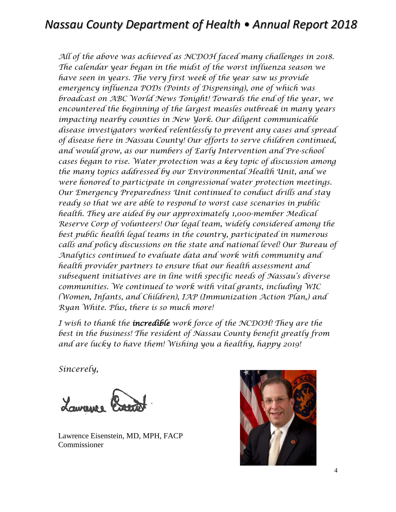*All of the above was achieved as NCDOH faced many challenges in 2018. The calendar year began in the midst of the worst influenza season we have seen in years. The very first week of the year saw us provide emergency influenza PODs (Points of Dispensing), one of which was broadcast on ABC World News Tonight! Towards the end of the year, we encountered the beginning of the largest measles outbreak in many years impacting nearby counties in New York. Our diligent communicable disease investigators worked relentlessly to prevent any cases and spread of disease here in Nassau County! Our efforts to serve children continued, and would grow, as our numbers of Early Intervention and Pre-school cases began to rise. Water protection was a key topic of discussion among the many topics addressed by our Environmental Health Unit, and we were honored to participate in congressional water protection meetings. Our Emergency Preparedness Unit continued to conduct drills and stay ready so that we are able to respond to worst case scenarios in public health. They are aided by our approximately 1,000-member Medical Reserve Corp of volunteers! Our legal team, widely considered among the best public health legal teams in the country, participated in numerous calls and policy discussions on the state and national level! Our Bureau of Analytics continued to evaluate data and work with community and health provider partners to ensure that our health assessment and subsequent initiatives are in line with specific needs of Nassau's diverse communities. We continued to work with vital grants, including WIC (Women, Infants, and Children), IAP (Immunization Action Plan,) and Ryan White. Plus, there is so much more!*

*I wish to thank the incredible work force of the NCDOH! They are the best in the business! The resident of Nassau County benefit greatly from and are lucky to have them! Wishing you a healthy, happy 2019!*

*Sincerely,*



Lawrence Eisenstein, MD, MPH, FACP Commissioner

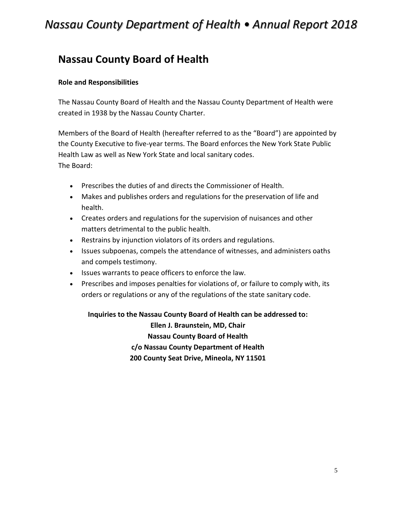### <span id="page-4-0"></span>**Nassau County Board of Health**

#### <span id="page-4-1"></span>**Role and Responsibilities**

The Nassau County Board of Health and the Nassau County Department of Health were created in 1938 by the Nassau County Charter.

Members of the Board of Health (hereafter referred to as the "Board") are appointed by the County Executive to five-year terms. The Board enforces the New York State Public Health Law as well as New York State and local sanitary codes. The Board:

- Prescribes the duties of and directs the Commissioner of Health.
- Makes and publishes orders and regulations for the preservation of life and health.
- Creates orders and regulations for the supervision of nuisances and other matters detrimental to the public health.
- Restrains by injunction violators of its orders and regulations.
- Issues subpoenas, compels the attendance of witnesses, and administers oaths and compels testimony.
- Issues warrants to peace officers to enforce the law.
- Prescribes and imposes penalties for violations of, or failure to comply with, its orders or regulations or any of the regulations of the state sanitary code.

**Inquiries to the Nassau County Board of Health can be addressed to:** 

**Ellen J. Braunstein, MD, Chair Nassau County Board of Health c/o Nassau County Department of Health 200 County Seat Drive, Mineola, NY 11501**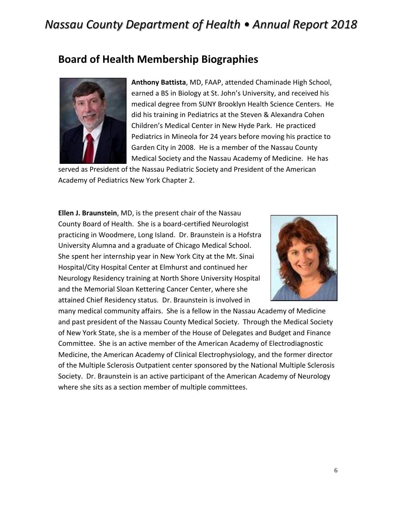### <span id="page-5-0"></span>**Board of Health Membership Biographies**



**Anthony Battista**, MD, FAAP, attended Chaminade High School, earned a BS in Biology at St. John's University, and received his medical degree from SUNY Brooklyn Health Science Centers. He did his training in Pediatrics at the Steven & Alexandra Cohen Children's Medical Center in New Hyde Park. He practiced Pediatrics in Mineola for 24 years before moving his practice to Garden City in 2008. He is a member of the Nassau County Medical Society and the Nassau Academy of Medicine. He has

served as President of the Nassau Pediatric Society and President of the American Academy of Pediatrics New York Chapter 2.

**Ellen J. Braunstein**, MD, is the present chair of the Nassau County Board of Health. She is a board-certified Neurologist practicing in Woodmere, Long Island. Dr. Braunstein is a Hofstra University Alumna and a graduate of Chicago Medical School. She spent her internship year in New York City at the Mt. Sinai Hospital/City Hospital Center at Elmhurst and continued her Neurology Residency training at North Shore University Hospital and the Memorial Sloan Kettering Cancer Center, where she attained Chief Residency status. Dr. Braunstein is involved in



many medical community affairs. She is a fellow in the Nassau Academy of Medicine and past president of the Nassau County Medical Society. Through the Medical Society of New York State, she is a member of the House of Delegates and Budget and Finance Committee. She is an active member of the American Academy of Electrodiagnostic Medicine, the American Academy of Clinical Electrophysiology, and the former director of the Multiple Sclerosis Outpatient center sponsored by the National Multiple Sclerosis Society. Dr. Braunstein is an active participant of the American Academy of Neurology where she sits as a section member of multiple committees.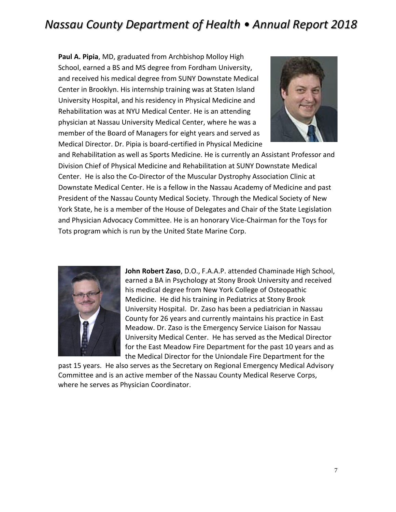**Paul A. Pipia**, MD, graduated from Archbishop Molloy High School, earned a BS and MS degree from Fordham University, and received his medical degree from SUNY Downstate Medical Center in Brooklyn. His internship training was at Staten Island University Hospital, and his residency in Physical Medicine and Rehabilitation was at NYU Medical Center. He is an attending physician at Nassau University Medical Center, where he was a member of the Board of Managers for eight years and served as Medical Director. Dr. Pipia is board-certified in Physical Medicine



and Rehabilitation as well as Sports Medicine. He is currently an Assistant Professor and Division Chief of Physical Medicine and Rehabilitation at SUNY Downstate Medical Center. He is also the Co-Director of the Muscular Dystrophy Association Clinic at Downstate Medical Center. He is a fellow in the Nassau Academy of Medicine and past President of the Nassau County Medical Society. Through the Medical Society of New York State, he is a member of the House of Delegates and Chair of the State Legislation and Physician Advocacy Committee. He is an honorary Vice-Chairman for the Toys for Tots program which is run by the United State Marine Corp.



**John Robert Zaso**, D.O., F.A.A.P. attended Chaminade High School, earned a BA in Psychology at Stony Brook University and received his medical degree from New York College of Osteopathic Medicine. He did his training in Pediatrics at Stony Brook University Hospital. Dr. Zaso has been a pediatrician in Nassau County for 26 years and currently maintains his practice in East Meadow. Dr. Zaso is the Emergency Service Liaison for Nassau University Medical Center. He has served as the Medical Director for the East Meadow Fire Department for the past 10 years and as the Medical Director for the Uniondale Fire Department for the

<span id="page-6-0"></span>past 15 years. He also serves as the Secretary on Regional Emergency Medical Advisory Committee and is an active member of the Nassau County Medical Reserve Corps, where he serves as Physician Coordinator.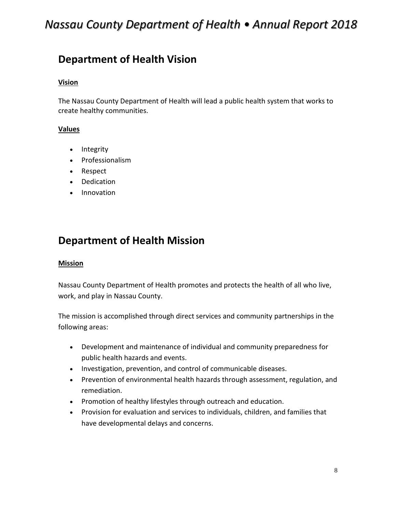### **Department of Health Vision**

#### **Vision**

The Nassau County Department of Health will lead a public health system that works to create healthy communities.

#### **Values**

- Integrity
- Professionalism
- Respect
- Dedication
- <span id="page-7-0"></span>• Innovation

### **Department of Health Mission**

#### **Mission**

Nassau County Department of Health promotes and protects the health of all who live, work, and play in Nassau County.

The mission is accomplished through direct services and community partnerships in the following areas:

- Development and maintenance of individual and community preparedness for public health hazards and events.
- Investigation, prevention, and control of communicable diseases.
- Prevention of environmental health hazards through assessment, regulation, and remediation.
- Promotion of healthy lifestyles through outreach and education.
- Provision for evaluation and services to individuals, children, and families that have developmental delays and concerns.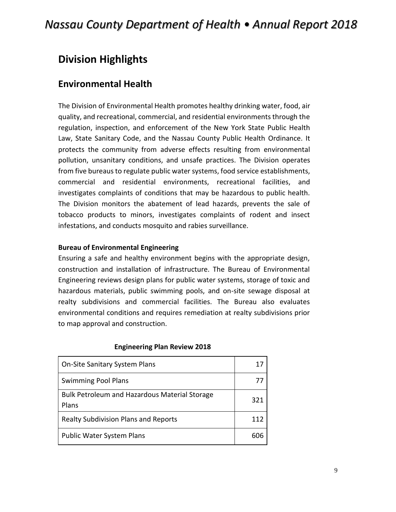### <span id="page-8-0"></span>**Division Highlights**

### **Environmental Health**

The Division of Environmental Health promotes healthy drinking water, food, air quality, and recreational, commercial, and residential environments through the regulation, inspection, and enforcement of the New York State Public Health Law, State Sanitary Code, and the Nassau County Public Health Ordinance. It protects the community from adverse effects resulting from environmental pollution, unsanitary conditions, and unsafe practices. The Division operates from five bureaus to regulate public water systems, food service establishments, commercial and residential environments, recreational facilities, and investigates complaints of conditions that may be hazardous to public health. The Division monitors the abatement of lead hazards, prevents the sale of tobacco products to minors, investigates complaints of rodent and insect infestations, and conducts mosquito and rabies surveillance.

#### **Bureau of Environmental Engineering**

Ensuring a safe and healthy environment begins with the appropriate design, construction and installation of infrastructure. The Bureau of Environmental Engineering reviews design plans for public water systems, storage of toxic and hazardous materials, public swimming pools, and on-site sewage disposal at realty subdivisions and commercial facilities. The Bureau also evaluates environmental conditions and requires remediation at realty subdivisions prior to map approval and construction.

| <b>On-Site Sanitary System Plans</b>                          | 17  |
|---------------------------------------------------------------|-----|
| <b>Swimming Pool Plans</b>                                    | 77  |
| <b>Bulk Petroleum and Hazardous Material Storage</b><br>Plans | 321 |
| <b>Realty Subdivision Plans and Reports</b>                   | 112 |
| <b>Public Water System Plans</b>                              |     |

#### **Engineering Plan Review 2018**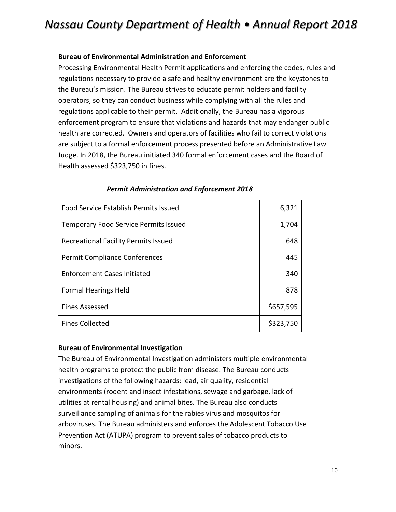#### **Bureau of Environmental Administration and Enforcement**

Processing Environmental Health Permit applications and enforcing the codes, rules and regulations necessary to provide a safe and healthy environment are the keystones to the Bureau's mission. The Bureau strives to educate permit holders and facility operators, so they can conduct business while complying with all the rules and regulations applicable to their permit. Additionally, the Bureau has a vigorous enforcement program to ensure that violations and hazards that may endanger public health are corrected. Owners and operators of facilities who fail to correct violations are subject to a formal enforcement process presented before an Administrative Law Judge. In 2018, the Bureau initiated 340 formal enforcement cases and the Board of Health assessed \$323,750 in fines.

| <b>Food Service Establish Permits Issued</b> | 6,321     |
|----------------------------------------------|-----------|
| <b>Temporary Food Service Permits Issued</b> | 1,704     |
| <b>Recreational Facility Permits Issued</b>  | 648       |
| <b>Permit Compliance Conferences</b>         | 445       |
| <b>Enforcement Cases Initiated</b>           | 340       |
| <b>Formal Hearings Held</b>                  | 878       |
| <b>Fines Assessed</b>                        | \$657,595 |
| <b>Fines Collected</b>                       | \$323,750 |

#### *Permit Administration and Enforcement 2018*

#### **Bureau of Environmental Investigation**

The Bureau of Environmental Investigation administers multiple environmental health programs to protect the public from disease. The Bureau conducts investigations of the following hazards: lead, air quality, residential environments (rodent and insect infestations, sewage and garbage, lack of utilities at rental housing) and animal bites. The Bureau also conducts surveillance sampling of animals for the rabies virus and mosquitos for arboviruses. The Bureau administers and enforces the Adolescent Tobacco Use Prevention Act (ATUPA) program to prevent sales of tobacco products to minors.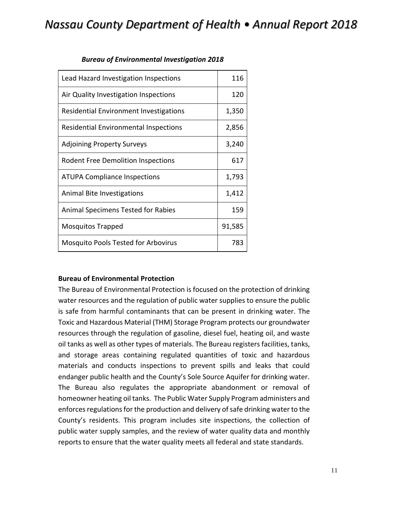| Lead Hazard Investigation Inspections      | 116    |
|--------------------------------------------|--------|
| Air Quality Investigation Inspections      | 120    |
| Residential Environment Investigations     | 1,350  |
| Residential Environmental Inspections      | 2,856  |
| <b>Adjoining Property Surveys</b>          | 3,240  |
| <b>Rodent Free Demolition Inspections</b>  | 617    |
| <b>ATUPA Compliance Inspections</b>        | 1,793  |
| Animal Bite Investigations                 | 1,412  |
| Animal Specimens Tested for Rabies         | 159    |
| <b>Mosquitos Trapped</b>                   | 91,585 |
| <b>Mosquito Pools Tested for Arbovirus</b> | 783    |

#### *Bureau of Environmental Investigation 2018*

#### **Bureau of Environmental Protection**

The Bureau of Environmental Protection is focused on the protection of drinking water resources and the regulation of public water supplies to ensure the public is safe from harmful contaminants that can be present in drinking water. The Toxic and Hazardous Material (THM) Storage Program protects our groundwater resources through the regulation of gasoline, diesel fuel, heating oil, and waste oil tanks as well as other types of materials. The Bureau registers facilities, tanks, and storage areas containing regulated quantities of toxic and hazardous materials and conducts inspections to prevent spills and leaks that could endanger public health and the County's Sole Source Aquifer for drinking water. The Bureau also regulates the appropriate abandonment or removal of homeowner heating oil tanks. The Public Water Supply Program administers and enforces regulations for the production and delivery of safe drinking water to the County's residents. This program includes site inspections, the collection of public water supply samples, and the review of water quality data and monthly reports to ensure that the water quality meets all federal and state standards.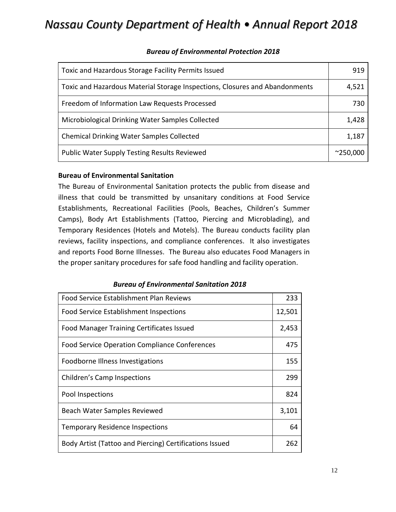| Toxic and Hazardous Storage Facility Permits Issued                         | 919               |
|-----------------------------------------------------------------------------|-------------------|
| Toxic and Hazardous Material Storage Inspections, Closures and Abandonments | 4,521             |
| Freedom of Information Law Requests Processed                               | 730               |
| Microbiological Drinking Water Samples Collected                            | 1,428             |
| <b>Chemical Drinking Water Samples Collected</b>                            | 1,187             |
| <b>Public Water Supply Testing Results Reviewed</b>                         | $^{\sim}$ 250,000 |

#### *Bureau of Environmental Protection 2018*

#### **Bureau of Environmental Sanitation**

The Bureau of Environmental Sanitation protects the public from disease and illness that could be transmitted by unsanitary conditions at Food Service Establishments, Recreational Facilities (Pools, Beaches, Children's Summer Camps), Body Art Establishments (Tattoo, Piercing and Microblading), and Temporary Residences (Hotels and Motels). The Bureau conducts facility plan reviews, facility inspections, and compliance conferences. It also investigates and reports Food Borne Illnesses. The Bureau also educates Food Managers in the proper sanitary procedures for safe food handling and facility operation.

#### *Bureau of Environmental Sanitation 2018*

| <b>Food Service Establishment Plan Reviews</b>          | 233    |
|---------------------------------------------------------|--------|
| Food Service Establishment Inspections                  | 12,501 |
| Food Manager Training Certificates Issued               | 2,453  |
| <b>Food Service Operation Compliance Conferences</b>    | 475    |
| Foodborne Illness Investigations                        | 155    |
| Children's Camp Inspections                             | 299    |
| Pool Inspections                                        | 824    |
| Beach Water Samples Reviewed                            | 3,101  |
| <b>Temporary Residence Inspections</b>                  | 64     |
| Body Artist (Tattoo and Piercing) Certifications Issued | 262    |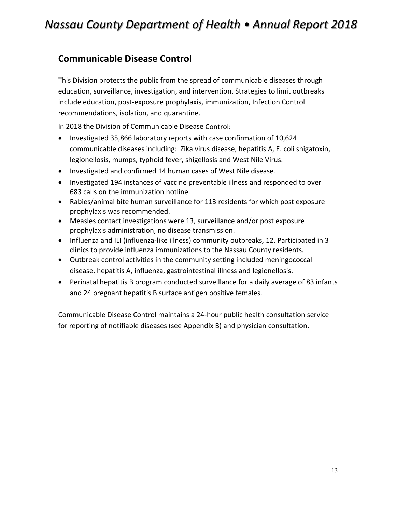### <span id="page-12-0"></span>**Communicable Disease Control**

This Division protects the public from the spread of communicable diseases through education, surveillance, investigation, and intervention. Strategies to limit outbreaks include education, post-exposure prophylaxis, immunization, Infection Control recommendations, isolation, and quarantine.

In 2018 the Division of Communicable Disease Control:

- Investigated 35,866 laboratory reports with case confirmation of 10,624 communicable diseases including: Zika virus disease, hepatitis A, E. coli shigatoxin, legionellosis, mumps, typhoid fever, shigellosis and West Nile Virus.
- Investigated and confirmed 14 human cases of West Nile disease.
- Investigated 194 instances of vaccine preventable illness and responded to over 683 calls on the immunization hotline.
- Rabies/animal bite human surveillance for 113 residents for which post exposure prophylaxis was recommended.
- Measles contact investigations were 13, surveillance and/or post exposure prophylaxis administration, no disease transmission.
- Influenza and ILI (influenza-like illness) community outbreaks, 12. Participated in 3 clinics to provide influenza immunizations to the Nassau County residents.
- Outbreak control activities in the community setting included meningococcal disease, hepatitis A, influenza, gastrointestinal illness and legionellosis.
- Perinatal hepatitis B program conducted surveillance for a daily average of 83 infants and 24 pregnant hepatitis B surface antigen positive females.

<span id="page-12-1"></span>Communicable Disease Control maintains a 24-hour public health consultation service for reporting of notifiable diseases (see Appendix B) and physician consultation.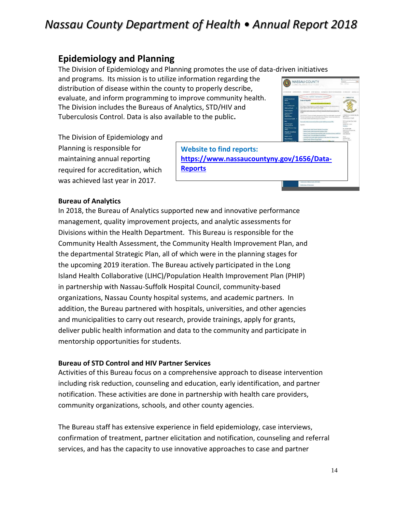### **Epidemiology and Planning**

The Division of Epidemiology and Planning promotes the use of data-driven initiatives

and programs. Its mission is to utilize information distribution of disease within the county evaluate, and inform programming to im The Division includes the Bureaus of Anal Tuberculosis Control. Data is also availab

The Division of Epidemiology and Planning is responsible for maintaining annual reporting required for accreditation, which was achieved last year in 2017.

| information regarding the<br>ty to properly describe,                                          | <b>CANADA CRIMINAL TYL.</b>                                                                                                                                                                                                                                                                                                                                                                                                                                | NASSAU COUNTY<br>EFFECTIVES - UNIT NATIONAL - INFORMATION DELATIONS                                                                                                                                                                                                                                                                                                                                                                                                                                                                                                                                                                                                                                                                                                                                                                                                                                                                                                                                                                                                                                         | A companied charge and<br><b>Current</b><br><b>Carl The Text</b><br><b>NAVARITIE</b><br>F-SHAYPS                                                                                                                                                                                                              |
|------------------------------------------------------------------------------------------------|------------------------------------------------------------------------------------------------------------------------------------------------------------------------------------------------------------------------------------------------------------------------------------------------------------------------------------------------------------------------------------------------------------------------------------------------------------|-------------------------------------------------------------------------------------------------------------------------------------------------------------------------------------------------------------------------------------------------------------------------------------------------------------------------------------------------------------------------------------------------------------------------------------------------------------------------------------------------------------------------------------------------------------------------------------------------------------------------------------------------------------------------------------------------------------------------------------------------------------------------------------------------------------------------------------------------------------------------------------------------------------------------------------------------------------------------------------------------------------------------------------------------------------------------------------------------------------|---------------------------------------------------------------------------------------------------------------------------------------------------------------------------------------------------------------------------------------------------------------------------------------------------------------|
| improve community health.<br>nalytics, STD/HIV and<br>able to the public.                      | <b>Standing Committee and</b><br><b>Branch</b><br><b>Allmark Un</b><br><b>A-7 of Recognan</b><br><b>Odd and Family</b><br>Date & Basedo<br><b>Employment &amp;</b><br><b><i><u>Distant</u></i></b><br>Constrator<br><b>Instrume Half</b><br>tic)<br><b>Read Monagers</b><br>Training Course<br><b>Medical Receive Corps</b><br><b>SHOW</b><br><b>Research Surveillance</b><br>and Contest<br><b>Need a Form?</b><br><b>Nova Pickacra</b><br>processing Co. | Caller from State - Department - Healt Department - Data & Real<br><b>Data &amp; Reports</b><br>ATA AND RESEARCH RESOURCE<br>The Hasses County Department of Health augusts the influence and departments in<br>leaft, tala for a discharge many than designs<br>Community Health Assessment (C19N) and Community Health Insurancement Pa.<br><b>ICHRS</b><br>The 2010-2010. Community Hardin Assessment and the Community Hardin International<br>Pan are comparative records of the fixeds status of News, County that partiets the<br>want assembly members state with anothers and curvation.<br>Connective Health Assessment and Connective Health Importance Plan<br>Appendix<br>- Names: Courts: Good: Faste for Datested Communities<br>Texas Corty Neth Associated Interior (200)<br>as Counts Engelehit Bahamad Roll Forte States for an System Jackkr 55<br>Nessay Coatly Connunly Street Syrent Report<br>Long Island Community I leadin Assessment Curves Amont The Nessay County<br>- Nepal Courty Wolfright Science Report<br>Newsay Courty Improvement Plan Interventions and Downston, Oct | - CONTACT US<br>UNIVERSITY ENGINEERING MO<br>and parts<br>Distribution of Health<br>201 Courty Seat Drive, North<br><b>Threatest</b><br>Simola MY, 1985<br>Deathers<br>Pt: 018-227-9027<br>Alter Intuin and Westwickly<br>Energensse<br>(519) 742-8154<br><b>Stages</b><br><b>Stordey Front</b><br>Jam - Higm |
| <b>Website to find reports:</b><br>https://www.nassaucountyny.gov/1656/Data-<br><b>Reports</b> |                                                                                                                                                                                                                                                                                                                                                                                                                                                            | <b>Manufacture Massac County 2014 Engl</b><br><b>Generaliser of Talentohnie</b>                                                                                                                                                                                                                                                                                                                                                                                                                                                                                                                                                                                                                                                                                                                                                                                                                                                                                                                                                                                                                             |                                                                                                                                                                                                                                                                                                               |

#### **Bureau of Analytics**

In 2018, the Bureau of Analytics supported new and innovative performance management, quality improvement projects, and analytic assessments for Divisions within the Health Department. This Bureau is responsible for the Community Health Assessment, the Community Health Improvement Plan, and the departmental Strategic Plan, all of which were in the planning stages for the upcoming 2019 iteration. The Bureau actively participated in the Long Island Health Collaborative (LIHC)/Population Health Improvement Plan (PHIP) in partnership with Nassau-Suffolk Hospital Council, community-based organizations, Nassau County hospital systems, and academic partners. In addition, the Bureau partnered with hospitals, universities, and other agencies and municipalities to carry out research, provide trainings, apply for grants, deliver public health information and data to the community and participate in mentorship opportunities for students.

#### **Bureau of STD Control and HIV Partner Services**

Activities of this Bureau focus on a comprehensive approach to disease intervention including risk reduction, counseling and education, early identification, and partner notification. These activities are done in partnership with health care providers, community organizations, schools, and other county agencies.

The Bureau staff has extensive experience in field epidemiology, case interviews, confirmation of treatment, partner elicitation and notification, counseling and referral services, and has the capacity to use innovative approaches to case and partner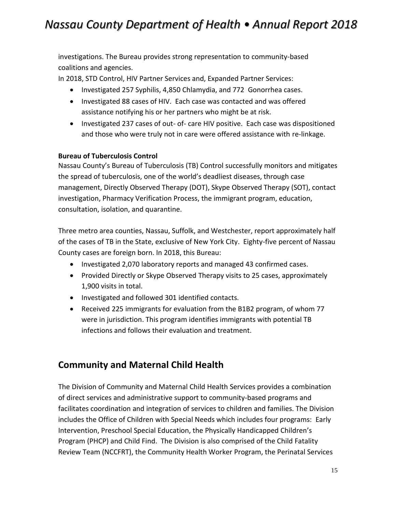investigations. The Bureau provides strong representation to community-based coalitions and agencies.

In 2018, STD Control, HIV Partner Services and, Expanded Partner Services:

- Investigated 257 Syphilis, 4,850 Chlamydia, and 772 Gonorrhea cases.
- Investigated 88 cases of HIV. Each case was contacted and was offered assistance notifying his or her partners who might be at risk.
- Investigated 237 cases of out- of- care HIV positive. Each case was dispositioned and those who were truly not in care were offered assistance with re-linkage.

### **Bureau of Tuberculosis Control**

Nassau County's Bureau of Tuberculosis (TB) Control successfully monitors and mitigates the spread of tuberculosis, one of the world's deadliest diseases, through case management, Directly Observed Therapy (DOT), Skype Observed Therapy (SOT), contact investigation, Pharmacy Verification Process, the immigrant program, education, consultation, isolation, and quarantine.

Three metro area counties, Nassau, Suffolk, and Westchester, report approximately half of the cases of TB in the State, exclusive of New York City. Eighty-five percent of Nassau County cases are foreign born. In 2018, this Bureau:

- Investigated 2,070 laboratory reports and managed 43 confirmed cases.
- Provided Directly or Skype Observed Therapy visits to 25 cases, approximately 1,900 visits in total.
- Investigated and followed 301 identified contacts.
- Received 225 immigrants for evaluation from the B1B2 program, of whom 77 were in jurisdiction. This program identifies immigrants with potential TB infections and follows their evaluation and treatment.

### <span id="page-14-0"></span>**Community and Maternal Child Health**

The Division of Community and Maternal Child Health Services provides a combination of direct services and administrative support to community-based programs and facilitates coordination and integration of services to children and families. The Division includes the Office of Children with Special Needs which includes four programs: Early Intervention, Preschool Special Education, the Physically Handicapped Children's Program (PHCP) and Child Find. The Division is also comprised of the Child Fatality Review Team (NCCFRT), the Community Health Worker Program, the Perinatal Services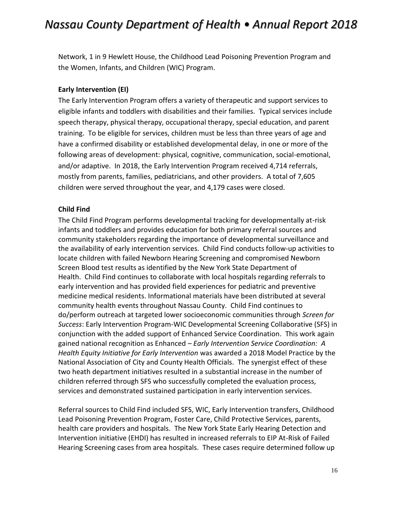Network, 1 in 9 Hewlett House, the Childhood Lead Poisoning Prevention Program and the Women, Infants, and Children (WIC) Program.

#### **Early Intervention (EI)**

The Early Intervention Program offers a variety of therapeutic and support services to eligible infants and toddlers with disabilities and their families. Typical services include speech therapy, physical therapy, occupational therapy, special education, and parent training. To be eligible for services, children must be less than three years of age and have a confirmed disability or established developmental delay, in one or more of the following areas of development: physical, cognitive, communication, social-emotional, and/or adaptive. In 2018, the Early Intervention Program received 4,714 referrals, mostly from parents, families, pediatricians, and other providers. A total of 7,605 children were served throughout the year, and 4,179 cases were closed.

#### **Child Find**

The Child Find Program performs developmental tracking for developmentally at-risk infants and toddlers and provides education for both primary referral sources and community stakeholders regarding the importance of developmental surveillance and the availability of early intervention services. Child Find conducts follow-up activities to locate children with failed Newborn Hearing Screening and compromised Newborn Screen Blood test results as identified by the New York State Department of Health. Child Find continues to collaborate with local hospitals regarding referrals to early intervention and has provided field experiences for pediatric and preventive medicine medical residents. Informational materials have been distributed at several community health events throughout Nassau County. Child Find continues to do/perform outreach at targeted lower socioeconomic communities through *Screen for Success*: Early Intervention Program-WIC Developmental Screening Collaborative (SFS) in conjunction with the added support of Enhanced Service Coordination. This work again gained national recognition as Enhanced *– Early Intervention Service Coordination: A Health Equity Initiative for Early Intervention* was awarded a 2018 Model Practice by the National Association of City and County Health Officials. The synergist effect of these two heath department initiatives resulted in a substantial increase in the number of children referred through SFS who successfully completed the evaluation process, services and demonstrated sustained participation in early intervention services.

Referral sources to Child Find included SFS, WIC, Early Intervention transfers, Childhood Lead Poisoning Prevention Program, Foster Care, Child Protective Services, parents, health care providers and hospitals. The New York State Early Hearing Detection and Intervention initiative (EHDI) has resulted in increased referrals to EIP At-Risk of Failed Hearing Screening cases from area hospitals. These cases require determined follow up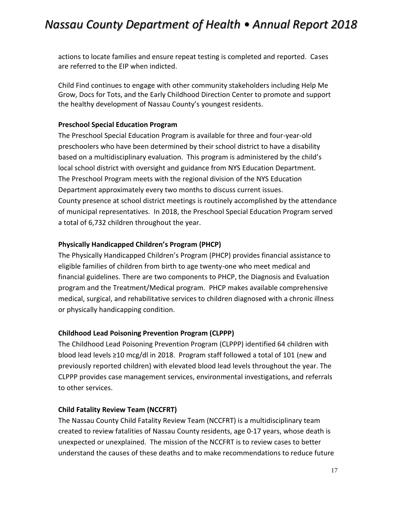actions to locate families and ensure repeat testing is completed and reported. Cases are referred to the EIP when indicted.

Child Find continues to engage with other community stakeholders including Help Me Grow, Docs for Tots, and the Early Childhood Direction Center to promote and support the healthy development of Nassau County's youngest residents.

#### **Preschool Special Education Program**

The Preschool Special Education Program is available for three and four-year-old preschoolers who have been determined by their school district to have a disability based on a multidisciplinary evaluation. This program is administered by the child's local school district with oversight and guidance from NYS Education Department. The Preschool Program meets with the regional division of the NYS Education Department approximately every two months to discuss current issues. County presence at school district meetings is routinely accomplished by the attendance of municipal representatives. In 2018, the Preschool Special Education Program served a total of 6,732 children throughout the year.

#### **Physically Handicapped Children's Program (PHCP)**

The Physically Handicapped Children's Program (PHCP) provides financial assistance to eligible families of children from birth to age twenty-one who meet medical and financial guidelines. There are two components to PHCP, the Diagnosis and Evaluation program and the Treatment/Medical program. PHCP makes available comprehensive medical, surgical, and rehabilitative services to children diagnosed with a chronic illness or physically handicapping condition.

#### **Childhood Lead Poisoning Prevention Program (CLPPP)**

The Childhood Lead Poisoning Prevention Program (CLPPP) identified 64 children with blood lead levels ≥10 mcg/dl in 2018. Program staff followed a total of 101 (new and previously reported children) with elevated blood lead levels throughout the year. The CLPPP provides case management services, environmental investigations, and referrals to other services.

#### **Child Fatality Review Team (NCCFRT)**

The Nassau County Child Fatality Review Team (NCCFRT) is a multidisciplinary team created to review fatalities of Nassau County residents, age 0-17 years, whose death is unexpected or unexplained. The mission of the NCCFRT is to review cases to better understand the causes of these deaths and to make recommendations to reduce future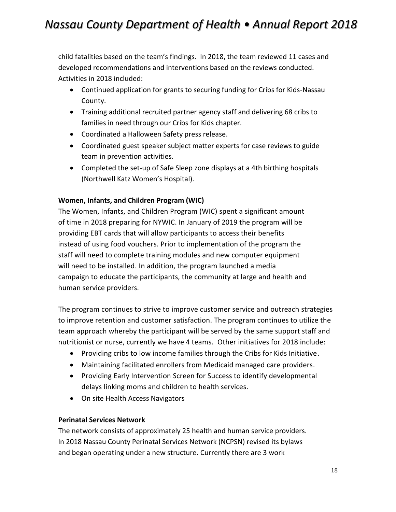child fatalities based on the team's findings. In 2018, the team reviewed 11 cases and developed recommendations and interventions based on the reviews conducted. Activities in 2018 included:

- Continued application for grants to securing funding for Cribs for Kids-Nassau County.
- Training additional recruited partner agency staff and delivering 68 cribs to families in need through our Cribs for Kids chapter.
- Coordinated a Halloween Safety press release.
- Coordinated guest speaker subject matter experts for case reviews to guide team in prevention activities.
- Completed the set-up of Safe Sleep zone displays at a 4th birthing hospitals (Northwell Katz Women's Hospital).

### **Women, Infants, and Children Program (WIC)**

The Women, Infants, and Children Program (WIC) spent a significant amount of time in 2018 preparing for NYWIC. In January of 2019 the program will be providing EBT cards that will allow participants to access their benefits instead of using food vouchers. Prior to implementation of the program the staff will need to complete training modules and new computer equipment will need to be installed. In addition, the program launched a media campaign to educate the participants, the community at large and health and human service providers.

The program continues to strive to improve customer service and outreach strategies to improve retention and customer satisfaction. The program continues to utilize the team approach whereby the participant will be served by the same support staff and nutritionist or nurse, currently we have 4 teams. Other initiatives for 2018 include:

- Providing cribs to low income families through the Cribs for Kids Initiative.
- Maintaining facilitated enrollers from Medicaid managed care providers.
- Providing Early Intervention Screen for Success to identify developmental delays linking moms and children to health services.
- On site Health Access Navigators

#### **Perinatal Services Network**

The network consists of approximately 25 health and human service providers. In 2018 Nassau County Perinatal Services Network (NCPSN) revised its bylaws and began operating under a new structure. Currently there are 3 work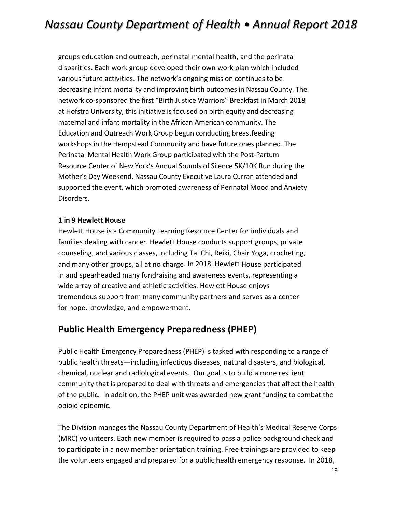groups education and outreach, perinatal mental health, and the perinatal disparities. Each work group developed their own work plan which included various future activities. The network's ongoing mission continues to be decreasing infant mortality and improving birth outcomes in Nassau County. The network co-sponsored the first "Birth Justice Warriors" Breakfast in March 2018 at Hofstra University, this initiative is focused on birth equity and decreasing maternal and infant mortality in the African American community. The Education and Outreach Work Group begun conducting breastfeeding workshops in the Hempstead Community and have future ones planned. The Perinatal Mental Health Work Group participated with the Post-Partum Resource Center of New York's Annual Sounds of Silence 5K/10K Run during the Mother's Day Weekend. Nassau County Executive Laura Curran attended and supported the event, which promoted awareness of Perinatal Mood and Anxiety Disorders.

#### **1 in 9 Hewlett House**

Hewlett House is a Community Learning Resource Center for individuals and families dealing with cancer. Hewlett House conducts support groups, private counseling, and various classes, including Tai Chi, Reiki, Chair Yoga, crocheting, and many other groups, all at no charge. In 2018, Hewlett House participated in and spearheaded many fundraising and awareness events, representing a wide array of creative and athletic activities. Hewlett House enjoys tremendous support from many community partners and serves as a center for hope, knowledge, and empowerment.

### <span id="page-18-0"></span>**Public Health Emergency Preparedness (PHEP)**

Public Health Emergency Preparedness (PHEP) is tasked with responding to a range of public health threats—including infectious diseases, natural disasters, and biological, chemical, nuclear and radiological events. Our goal is to build a more resilient community that is prepared to deal with threats and emergencies that affect the health of the public. In addition, the PHEP unit was awarded new grant funding to combat the opioid epidemic.

The Division manages the Nassau County Department of Health's Medical Reserve Corps (MRC) volunteers. Each new member is required to pass a police background check and to participate in a new member orientation training. Free trainings are provided to keep the volunteers engaged and prepared for a public health emergency response. In 2018,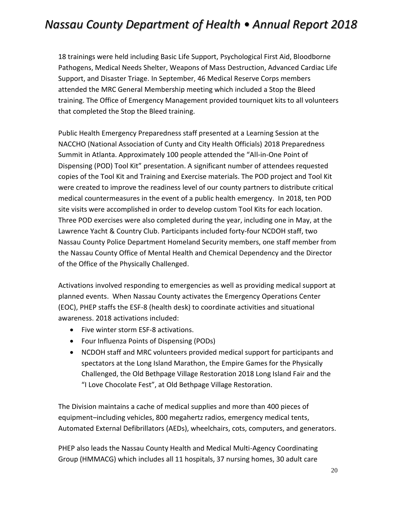18 trainings were held including Basic Life Support, Psychological First Aid, Bloodborne Pathogens, Medical Needs Shelter, Weapons of Mass Destruction, Advanced Cardiac Life Support, and Disaster Triage. In September, 46 Medical Reserve Corps members attended the MRC General Membership meeting which included a Stop the Bleed training. The Office of Emergency Management provided tourniquet kits to all volunteers that completed the Stop the Bleed training.

Public Health Emergency Preparedness staff presented at a Learning Session at the NACCHO (National Association of Cunty and City Health Officials) 2018 Preparedness Summit in Atlanta. Approximately 100 people attended the "All-in-One Point of Dispensing (POD) Tool Kit" presentation. A significant number of attendees requested copies of the Tool Kit and Training and Exercise materials. The POD project and Tool Kit were created to improve the readiness level of our county partners to distribute critical medical countermeasures in the event of a public health emergency. In 2018, ten POD site visits were accomplished in order to develop custom Tool Kits for each location. Three POD exercises were also completed during the year, including one in May, at the Lawrence Yacht & Country Club. Participants included forty-four NCDOH staff, two Nassau County Police Department Homeland Security members, one staff member from the Nassau County Office of Mental Health and Chemical Dependency and the Director of the Office of the Physically Challenged.

Activations involved responding to emergencies as well as providing medical support at planned events. When Nassau County activates the Emergency Operations Center (EOC), PHEP staffs the ESF-8 (health desk) to coordinate activities and situational awareness. 2018 activations included:

- Five winter storm ESF-8 activations.
- Four Influenza Points of Dispensing (PODs)
- NCDOH staff and MRC volunteers provided medical support for participants and spectators at the Long Island Marathon, the Empire Games for the Physically Challenged, the Old Bethpage Village Restoration 2018 Long Island Fair and the "I Love Chocolate Fest", at Old Bethpage Village Restoration.

The Division maintains a cache of medical supplies and more than 400 pieces of equipment–including vehicles, 800 megahertz radios, emergency medical tents, Automated External Defibrillators (AEDs), wheelchairs, cots, computers, and generators.

PHEP also leads the Nassau County Health and Medical Multi-Agency Coordinating Group (HMMACG) which includes all 11 hospitals, 37 nursing homes, 30 adult care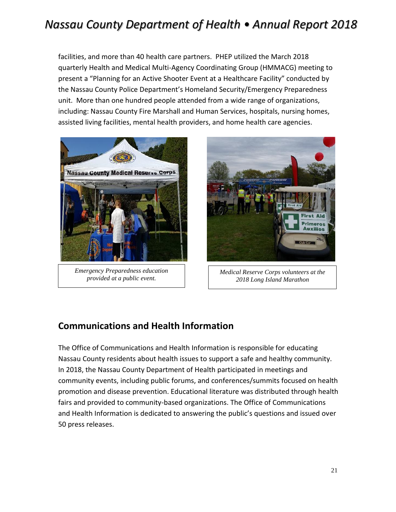facilities, and more than 40 health care partners. PHEP utilized the March 2018 quarterly Health and Medical Multi-Agency Coordinating Group (HMMACG) meeting to present a "Planning for an Active Shooter Event at a Healthcare Facility" conducted by the Nassau County Police Department's Homeland Security/Emergency Preparedness unit. More than one hundred people attended from a wide range of organizations, including: Nassau County Fire Marshall and Human Services, hospitals, nursing homes, assisted living facilities, mental health providers, and home health care agencies.



*Emergency Preparedness education provided at a public event.*



*Medical Reserve Corps volunteers at the 2018 Long Island Marathon*

### <span id="page-20-0"></span>**Communications and Health Information**

<span id="page-20-1"></span>The Office of Communications and Health Information is responsible for educating Nassau County residents about health issues to support a safe and healthy community. In 2018, the Nassau County Department of Health participated in meetings and community events, including public forums, and conferences/summits focused on health promotion and disease prevention. Educational literature was distributed through health fairs and provided to community-based organizations. The Office of Communications and Health Information is dedicated to answering the public's questions and issued over 50 press releases.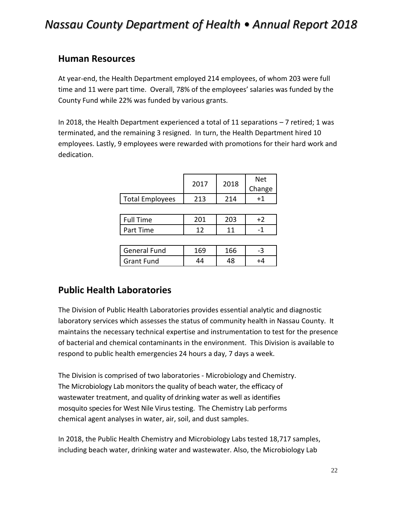### **Human Resources**

At year-end, the Health Department employed 214 employees, of whom 203 were full time and 11 were part time. Overall, 78% of the employees' salaries was funded by the County Fund while 22% was funded by various grants.

In 2018, the Health Department experienced a total of 11 separations – 7 retired; 1 was terminated, and the remaining 3 resigned. In turn, the Health Department hired 10 employees. Lastly, 9 employees were rewarded with promotions for their hard work and dedication.

|                 | 2017 | 2018 | Net    |
|-----------------|------|------|--------|
|                 |      |      | Change |
| Total Employees | 213  | 21 A |        |

| <b>Time</b><br>Full 1 |     |                          |
|-----------------------|-----|--------------------------|
| Part Time             | a 4 | $\overline{\phantom{a}}$ |

| General Fund      |  |  |
|-------------------|--|--|
| <b>Grant Fund</b> |  |  |

### <span id="page-21-0"></span>**Public Health Laboratories**

The Division of Public Health Laboratories provides essential analytic and diagnostic laboratory services which assesses the status of community health in Nassau County. It maintains the necessary technical expertise and instrumentation to test for the presence of bacterial and chemical contaminants in the environment. This Division is available to respond to public health emergencies 24 hours a day, 7 days a week.

The Division is comprised of two laboratories - Microbiology and Chemistry. The Microbiology Lab monitors the quality of beach water, the efficacy of wastewater treatment, and quality of drinking water as well as identifies mosquito species for West Nile Virus testing. The Chemistry Lab performs chemical agent analyses in water, air, soil, and dust samples.

In 2018, the Public Health Chemistry and Microbiology Labs tested 18,717 samples, including beach water, drinking water and wastewater. Also, the Microbiology Lab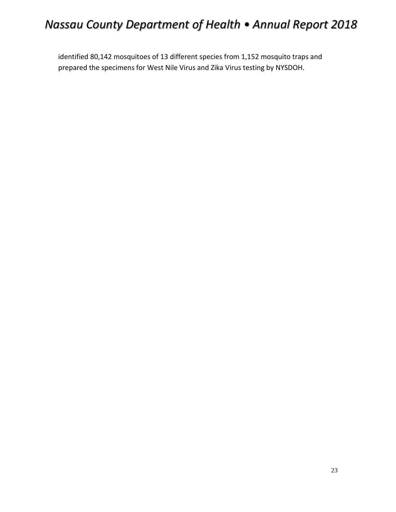<span id="page-22-0"></span>identified 80,142 mosquitoes of 13 different species from 1,152 mosquito traps and prepared the specimens for West Nile Virus and Zika Virus testing by NYSDOH.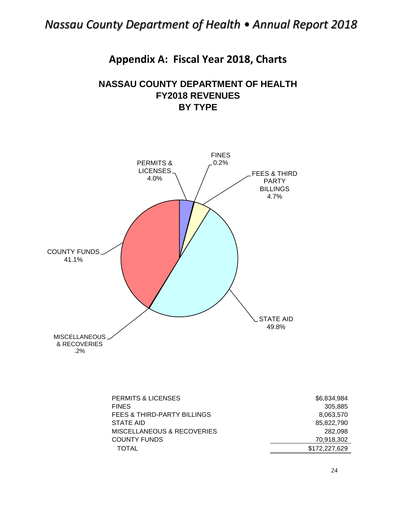### **Appendix A: Fiscal Year 2018, Charts**

### **NASSAU COUNTY DEPARTMENT OF HEALTH FY2018 REVENUES BY TYPE**



| <b>PERMITS &amp; LICENSES</b>          | \$6,834,984   |
|----------------------------------------|---------------|
| <b>FINES</b>                           | 305,885       |
| <b>FEES &amp; THIRD-PARTY BILLINGS</b> | 8,063,570     |
| STATE AID                              | 85,822,790    |
| MISCELLANEOUS & RECOVERIES             | 282.098       |
| <b>COUNTY FUNDS</b>                    | 70,918,302    |
| TOTAL                                  | \$172,227,629 |

24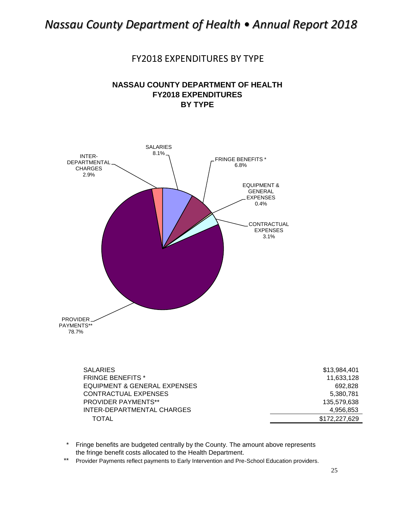FY2018 EXPENDITURES BY TYPE

### **NASSAU COUNTY DEPARTMENT OF HEALTH FY2018 EXPENDITURES BY TYPE**



| <b>SALARIES</b>              | \$13,984,401  |
|------------------------------|---------------|
| <b>FRINGE BENEFITS *</b>     | 11,633,128    |
| EQUIPMENT & GENERAL EXPENSES | 692,828       |
| CONTRACTUAL EXPENSES         | 5,380,781     |
| <b>PROVIDER PAYMENTS**</b>   | 135,579,638   |
| INTER-DEPARTMENTAL CHARGES   | 4.956.853     |
| <b>TOTAL</b>                 | \$172,227,629 |

\* Fringe benefits are budgeted centrally by the County. The amount above represents the fringe benefit costs allocated to the Health Department.

\*\* Provider Payments reflect payments to Early Intervention and Pre-School Education providers.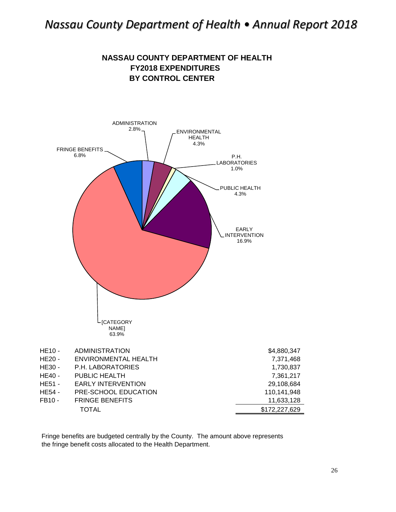**NASSAU COUNTY DEPARTMENT OF HEALTH**



Fringe benefits are budgeted centrally by the County. The amount above represents the fringe benefit costs allocated to the Health Department.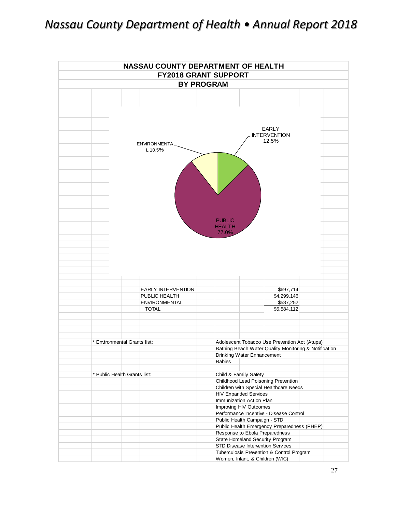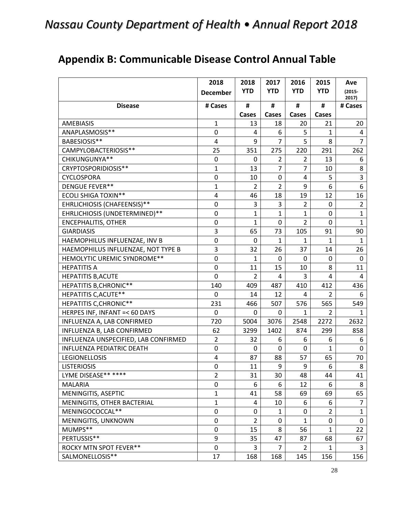# <span id="page-27-0"></span>**Appendix B: Communicable Disease Control Annual Table**

|                                      | 2018                    | 2018           | 2017           | 2016           | 2015           | Ave                |
|--------------------------------------|-------------------------|----------------|----------------|----------------|----------------|--------------------|
|                                      | <b>December</b>         | <b>YTD</b>     | <b>YTD</b>     | <b>YTD</b>     | <b>YTD</b>     | $(2015 -$<br>2017) |
| <b>Disease</b>                       | # Cases                 | #              | #              | #              | #              | # Cases            |
|                                      |                         | Cases          | Cases          | Cases          | Cases          |                    |
| <b>AMEBIASIS</b>                     | 1                       | 13             | 18             | 20             | 21             | $20\,$             |
| ANAPLASMOSIS**                       | 0                       | 4              | 6              | 5              | $\mathbf{1}$   | 4                  |
| BABESIOSIS**                         | $\overline{\mathbf{4}}$ | 9              | $\overline{7}$ | 5              | 8              | $\overline{7}$     |
| CAMPYLOBACTERIOSIS**                 | 25                      | 351            | 275            | 220            | 291            | 262                |
| CHIKUNGUNYA**                        | 0                       | 0              | $\overline{2}$ | $\overline{2}$ | 13             | 6                  |
| CRYPTOSPORIDIOSIS**                  | $\mathbf{1}$            | 13             | $\overline{7}$ | $\overline{7}$ | 10             | 8                  |
| <b>CYCLOSPORA</b>                    | $\pmb{0}$               | 10             | $\mathbf 0$    | 4              | 5              | 3                  |
| <b>DENGUE FEVER**</b>                | $\mathbf 1$             | $\overline{2}$ | $\overline{2}$ | 9              | 6              | 6                  |
| <b>ECOLI SHIGA TOXIN**</b>           | 4                       | 46             | 18             | 19             | 12             | 16                 |
| EHRLICHIOSIS (CHAFEENSIS)**          | $\mathbf 0$             | 3              | 3              | $\overline{2}$ | 0              | $\overline{2}$     |
| EHRLICHIOSIS (UNDETERMINED)**        | $\pmb{0}$               | 1              | $\mathbf{1}$   | 1              | $\mathbf 0$    | $\mathbf{1}$       |
| <b>ENCEPHALITIS, OTHER</b>           | 0                       | 1              | 0              | $\overline{2}$ | 0              | $\mathbf{1}$       |
| <b>GIARDIASIS</b>                    | 3                       | 65             | 73             | 105            | 91             | 90                 |
| HAEMOPHILUS INFLUENZAE, INV B        | $\mathbf 0$             | 0              | 1              | 1              | $\mathbf{1}$   | $\mathbf{1}$       |
| HAEMOPHILUS INFLUENZAE, NOT TYPE B   | 3                       | 32             | 26             | 37             | 14             | 26                 |
| HEMOLYTIC UREMIC SYNDROME**          | $\pmb{0}$               | 1              | $\mathbf 0$    | 0              | 0              | $\mathbf 0$        |
| <b>HEPATITIS A</b>                   | $\mathbf 0$             | 11             | 15             | 10             | 8              | 11                 |
| <b>HEPATITIS B, ACUTE</b>            | 0                       | $\overline{2}$ | 4              | 3              | 4              | 4                  |
| <b>HEPATITIS B, CHRONIC**</b>        | 140                     | 409            | 487            | 410            | 412            | 436                |
| <b>HEPATITIS C, ACUTE**</b>          | 0                       | 14             | 12             | 4              | $\overline{2}$ | 6                  |
| <b>HEPATITIS C, CHRONIC**</b>        | 231                     | 466            | 507            | 576            | 565            | 549                |
| HERPES INF, INFANT =< 60 DAYS        | 0                       | 0              | 0              | 1              | $\overline{2}$ | $\mathbf{1}$       |
| INFLUENZA A, LAB CONFIRMED           | 720                     | 5004           | 3076           | 2548           | 2272           | 2632               |
| INFLUENZA B, LAB CONFIRMED           | 62                      | 3299           | 1402           | 874            | 299            | 858                |
| INFLUENZA UNSPECIFIED, LAB CONFIRMED | $\overline{2}$          | 32             | 6              | 6              | 6              | 6                  |
| INFLUENZA PEDIATRIC DEATH            | $\pmb{0}$               | 0              | 0              | 0              | 1              | $\mathbf 0$        |
| <b>LEGIONELLOSIS</b>                 | 4                       | 87             | 88             | 57             | 65             | 70                 |
| <b>LISTERIOSIS</b>                   | 0                       | 11             | 9              | 9              | 6              | 8                  |
| LYME DISEASE** ****                  | $\overline{2}$          | 31             | 30             | 48             | 44             | 41                 |
| <b>MALARIA</b>                       | 0                       | 6              | 6              | 12             | 6              | 8                  |
| MENINGITIS, ASEPTIC                  | $\mathbf{1}$            | 41             | 58             | 69             | 69             | 65                 |
| MENINGITIS, OTHER BACTERIAL          | $\mathbf{1}$            | 4              | 10             | 6              | 6              | $\overline{7}$     |
| MENINGOCOCCAL**                      | 0                       | 0              | 1              | 0              | $\overline{2}$ | $\mathbf{1}$       |
| MENINGITIS, UNKNOWN                  | 0                       | $\overline{2}$ | 0              | $\mathbf{1}$   | 0              | $\mathbf 0$        |
| MUMPS**                              | 0                       | 15             | 8              | 56             | $\mathbf{1}$   | 22                 |
| PERTUSSIS**                          | 9                       | 35             | 47             | 87             | 68             | 67                 |
| ROCKY MTN SPOT FEVER**               | 0                       | 3              | $\overline{7}$ | $\overline{2}$ | 1              | 3                  |
| SALMONELLOSIS**                      | 17                      | 168            | 168            | 145            | 156            | 156                |